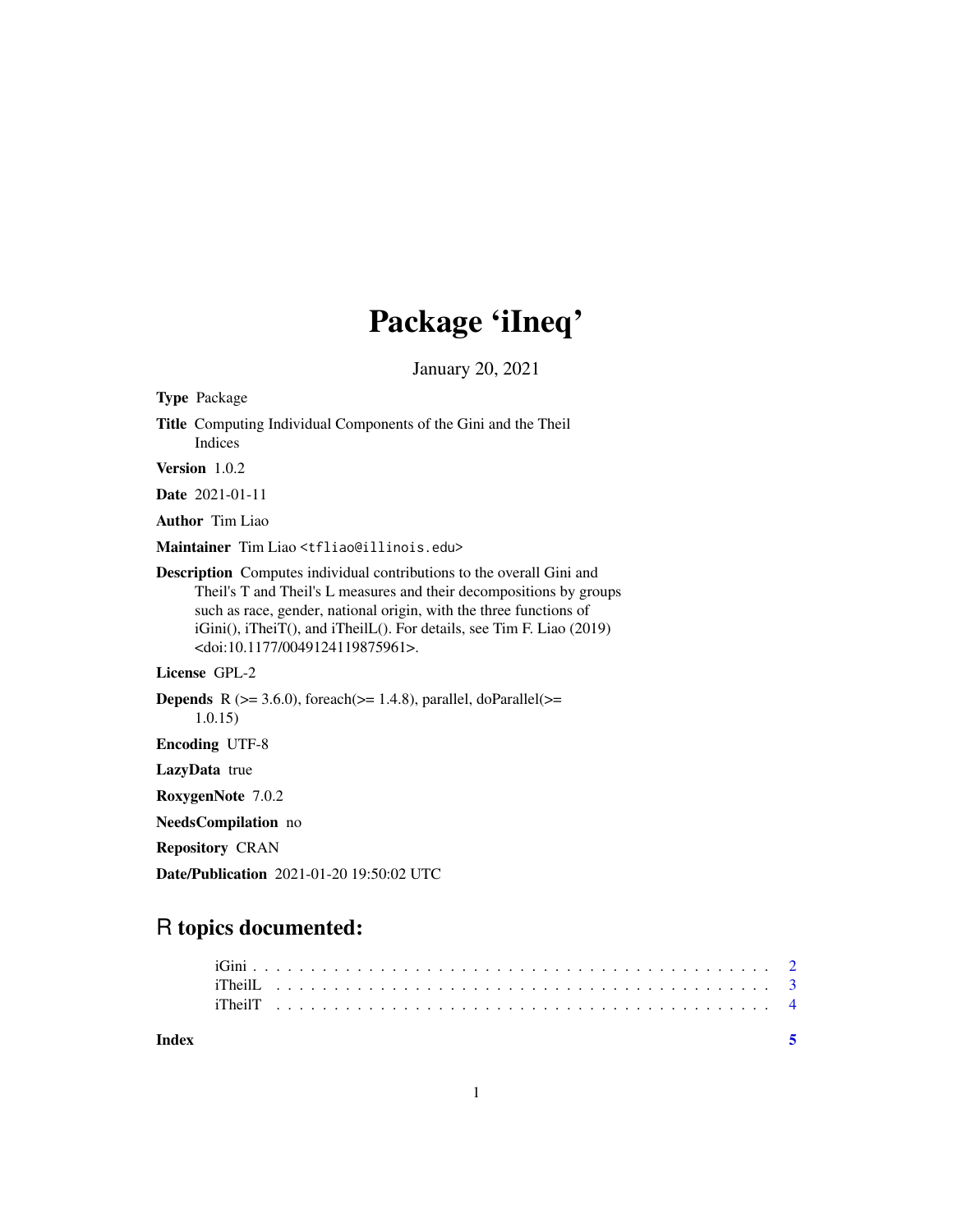## Package 'iIneq'

January 20, 2021

| <b>Type Package</b>                                                                                                                                                                                                                                                                                                                                    |
|--------------------------------------------------------------------------------------------------------------------------------------------------------------------------------------------------------------------------------------------------------------------------------------------------------------------------------------------------------|
| Title Computing Individual Components of the Gini and the Theil<br>Indices                                                                                                                                                                                                                                                                             |
| Version 1.0.2                                                                                                                                                                                                                                                                                                                                          |
| <b>Date</b> 2021-01-11                                                                                                                                                                                                                                                                                                                                 |
| <b>Author</b> Tim Liao                                                                                                                                                                                                                                                                                                                                 |
| Maintainer Tim Liao <tfliao@illinois.edu></tfliao@illinois.edu>                                                                                                                                                                                                                                                                                        |
| <b>Description</b> Computes individual contributions to the overall Gini and<br>Theil's T and Theil's L measures and their decompositions by groups<br>such as race, gender, national origin, with the three functions of<br>iGini(), iTheiT(), and iTheilL(). For details, see Tim F. Liao (2019)<br><doi:10.1177 0049124119875961="">.</doi:10.1177> |
| License GPL-2                                                                                                                                                                                                                                                                                                                                          |
| <b>Depends</b> R $(>= 3.6.0)$ , foreach $(>= 1.4.8)$ , parallel, doParallel $(>=$<br>1.0.15)                                                                                                                                                                                                                                                           |
| <b>Encoding UTF-8</b>                                                                                                                                                                                                                                                                                                                                  |
| LazyData true                                                                                                                                                                                                                                                                                                                                          |
| RoxygenNote 7.0.2                                                                                                                                                                                                                                                                                                                                      |
| NeedsCompilation no                                                                                                                                                                                                                                                                                                                                    |
| <b>Repository CRAN</b>                                                                                                                                                                                                                                                                                                                                 |
| <b>Date/Publication</b> 2021-01-20 19:50:02 UTC                                                                                                                                                                                                                                                                                                        |

### R topics documented:

**Index** [5](#page-4-0). The second state of the second state of the second state of the second state of the second state of the second state of the second state of the second state of the second state of the second state of the second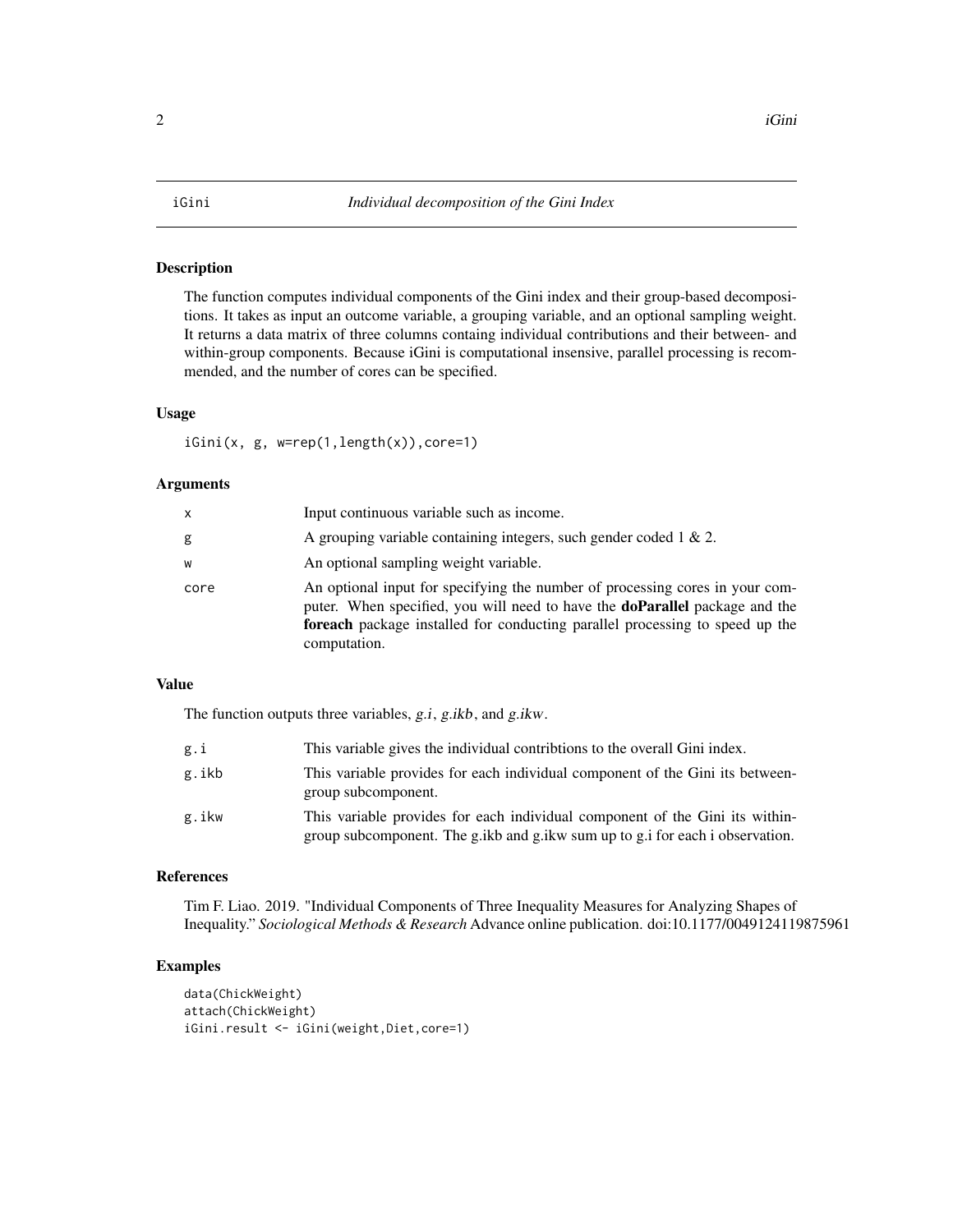#### Description

The function computes individual components of the Gini index and their group-based decompositions. It takes as input an outcome variable, a grouping variable, and an optional sampling weight. It returns a data matrix of three columns containg individual contributions and their between- and within-group components. Because iGini is computational insensive, parallel processing is recommended, and the number of cores can be specified.

#### Usage

iGini(x, g, w=rep(1,length(x)),core=1)

#### Arguments

| x    | Input continuous variable such as income.                                                                                                                                                                                                                          |
|------|--------------------------------------------------------------------------------------------------------------------------------------------------------------------------------------------------------------------------------------------------------------------|
| g    | A grouping variable containing integers, such gender coded $1 \& 2$ .                                                                                                                                                                                              |
| W    | An optional sampling weight variable.                                                                                                                                                                                                                              |
| core | An optional input for specifying the number of processing cores in your com-<br>puter. When specified, you will need to have the <b>doParallel</b> package and the<br>foreach package installed for conducting parallel processing to speed up the<br>computation. |

#### Value

The function outputs three variables, g.i, g.ikb, and g.ikw.

| g.i   | This variable gives the individual contribtions to the overall Gini index.                                                                                    |
|-------|---------------------------------------------------------------------------------------------------------------------------------------------------------------|
| g.ikb | This variable provides for each individual component of the Gini its between-<br>group subcomponent.                                                          |
| g.ikw | This variable provides for each individual component of the Gini its within-<br>group subcomponent. The g.ikb and g.ikw sum up to g.i for each i observation. |

#### References

Tim F. Liao. 2019. "Individual Components of Three Inequality Measures for Analyzing Shapes of Inequality." *Sociological Methods & Research* Advance online publication. doi:10.1177/0049124119875961

#### Examples

```
data(ChickWeight)
attach(ChickWeight)
iGini.result <- iGini(weight,Diet,core=1)
```
#### <span id="page-1-0"></span> $2 \t iG\text{in}$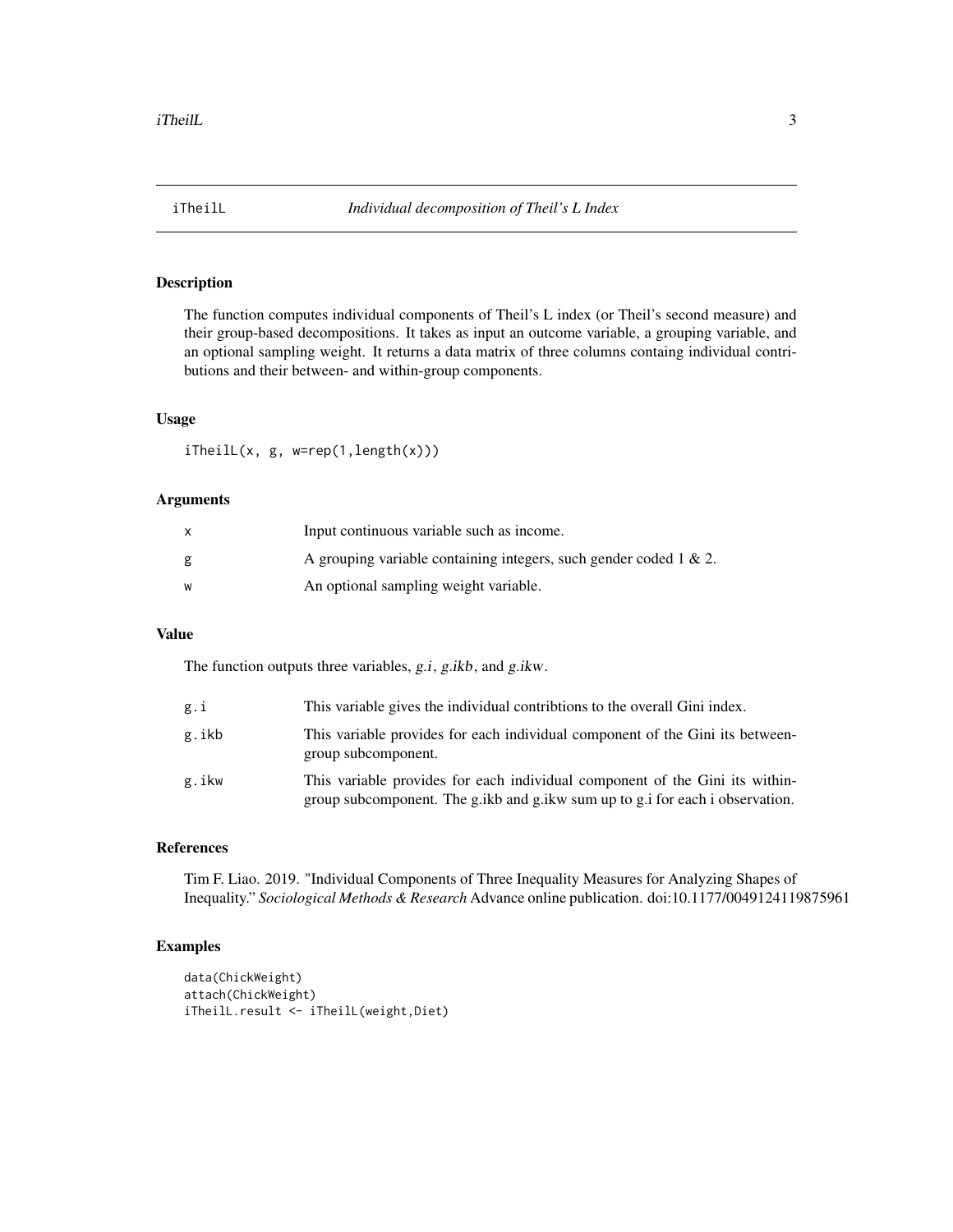<span id="page-2-0"></span>

#### Description

The function computes individual components of Theil's L index (or Theil's second measure) and their group-based decompositions. It takes as input an outcome variable, a grouping variable, and an optional sampling weight. It returns a data matrix of three columns containg individual contributions and their between- and within-group components.

#### Usage

iTheilL(x, g, w=rep(1,length(x)))

#### Arguments

| x | Input continuous variable such as income.                             |
|---|-----------------------------------------------------------------------|
| g | A grouping variable containing integers, such gender coded $1 \& 2$ . |
| w | An optional sampling weight variable.                                 |

### Value

The function outputs three variables, g.i, g.ikb, and g.ikw.

| g.i   | This variable gives the individual contribtions to the overall Gini index.                                                                                    |
|-------|---------------------------------------------------------------------------------------------------------------------------------------------------------------|
| g.ikb | This variable provides for each individual component of the Gini its between-<br>group subcomponent.                                                          |
| g.ikw | This variable provides for each individual component of the Gini its within-<br>group subcomponent. The g.ikb and g.ikw sum up to g.i for each i observation. |

#### References

Tim F. Liao. 2019. "Individual Components of Three Inequality Measures for Analyzing Shapes of Inequality." *Sociological Methods & Research* Advance online publication. doi:10.1177/0049124119875961

#### Examples

```
data(ChickWeight)
attach(ChickWeight)
iTheilL.result <- iTheilL(weight,Diet)
```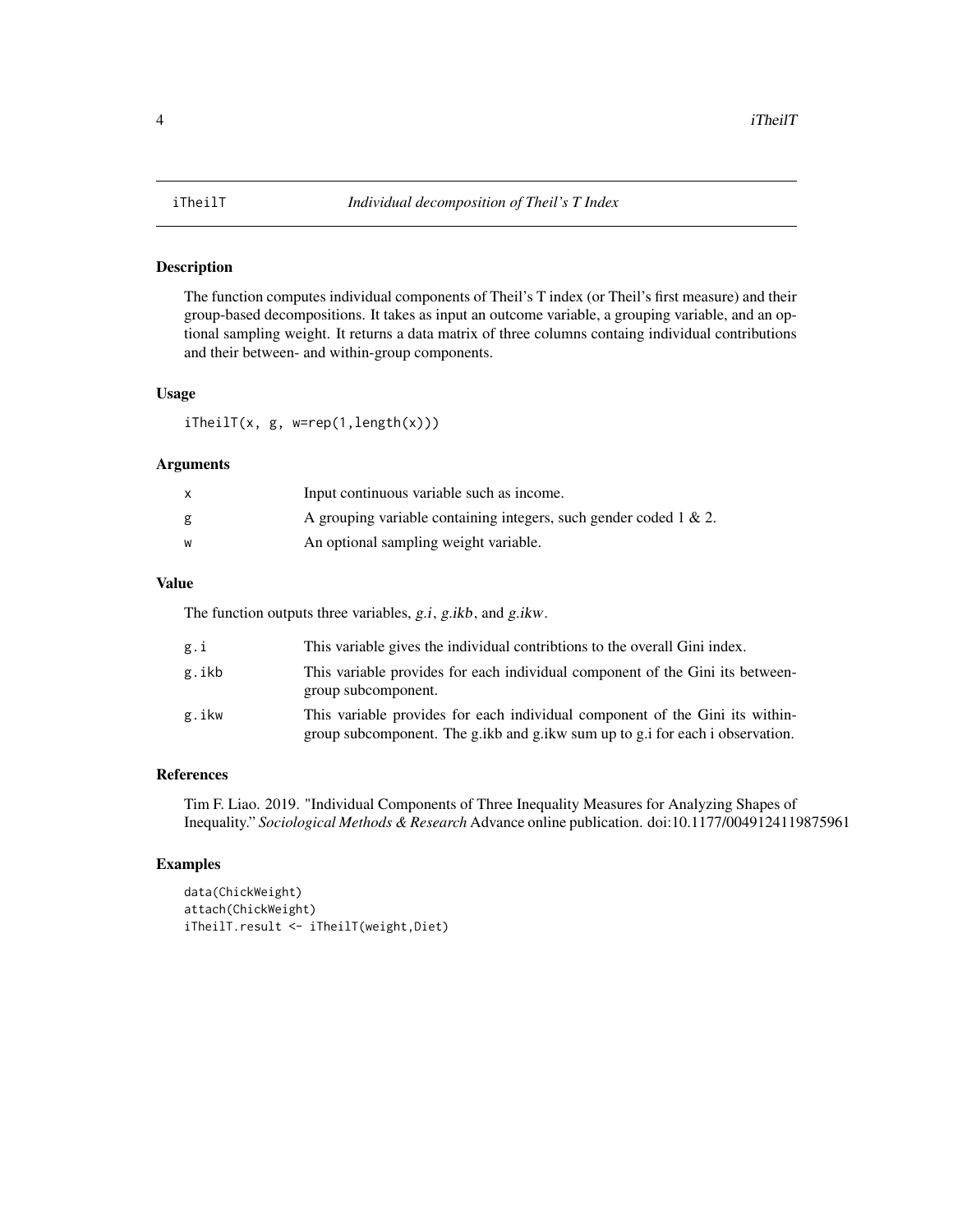<span id="page-3-0"></span>

#### Description

The function computes individual components of Theil's T index (or Theil's first measure) and their group-based decompositions. It takes as input an outcome variable, a grouping variable, and an optional sampling weight. It returns a data matrix of three columns containg individual contributions and their between- and within-group components.

#### Usage

iTheilT(x, g, w=rep(1,length(x)))

#### Arguments

|   | Input continuous variable such as income.                             |
|---|-----------------------------------------------------------------------|
| g | A grouping variable containing integers, such gender coded $1 \& 2$ . |
| W | An optional sampling weight variable.                                 |

#### Value

The function outputs three variables, g.i, g.ikb, and g.ikw.

| g.i   | This variable gives the individual contribtions to the overall Gini index.                                                                                       |
|-------|------------------------------------------------------------------------------------------------------------------------------------------------------------------|
| g.ikb | This variable provides for each individual component of the Gini its between-<br>group subcomponent.                                                             |
| g.ikw | This variable provides for each individual component of the Gini its within-<br>group subcomponent. The g, ikb and g, ikw sum up to g, i for each i observation. |

#### References

Tim F. Liao. 2019. "Individual Components of Three Inequality Measures for Analyzing Shapes of Inequality." *Sociological Methods & Research* Advance online publication. doi:10.1177/0049124119875961

#### Examples

```
data(ChickWeight)
attach(ChickWeight)
iTheilT.result <- iTheilT(weight,Diet)
```